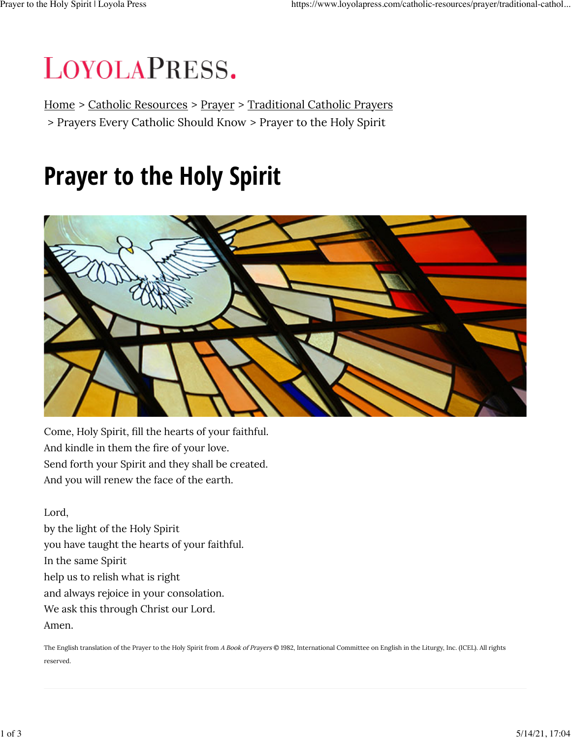# LOYOLAPRESS.

Home > Catholic Resources > Prayer > Traditional Catholic Prayers > Prayers Every Catholic Should Know > Prayer to the Holy Spirit

## **Prayer to the Holy Spirit**



Come, Holy Spirit, fill the hearts of your faithful. And kindle in them the fire of your love. Send forth your Spirit and they shall be created. And you will renew the face of the earth.

Lord, by the light of the Holy Spirit you have taught the hearts of your faithful. In the same Spirit help us to relish what is right and always rejoice in your consolation. We ask this through Christ our Lord. Amen.

The English translation of the Prayer to the Holy Spirit from A Book of Prayers © 1982, International Committee on English in the Liturgy, Inc. (ICEL). All rights reserved.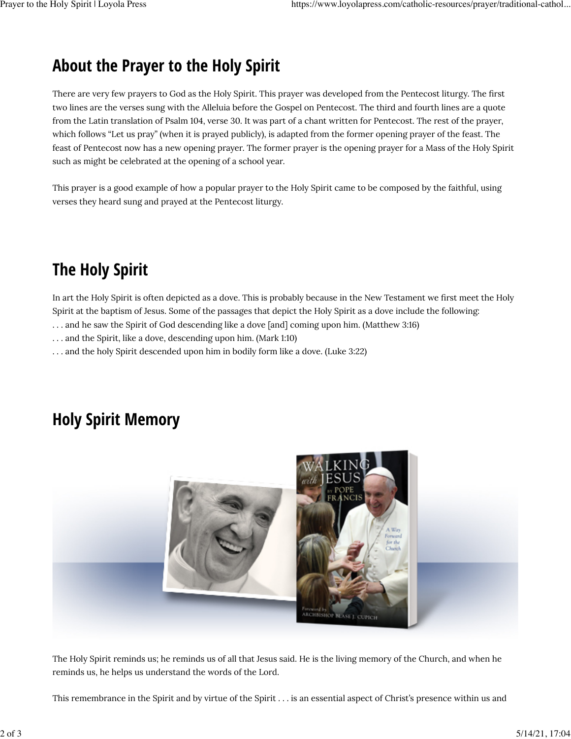### **About the Prayer to the Holy Spirit**

There are very few prayers to God as the Holy Spirit. This prayer was developed from the Pentecost liturgy. The first two lines are the verses sung with the Alleluia before the Gospel on Pentecost. The third and fourth lines are a quote from the Latin translation of Psalm 104, verse 30. It was part of a chant written for Pentecost. The rest of the prayer, which follows "Let us pray" (when it is prayed publicly), is adapted from the former opening prayer of the feast. The feast of Pentecost now has a new opening prayer. The former prayer is the opening prayer for a Mass of the Holy Spirit such as might be celebrated at the opening of a school year.

This prayer is a good example of how a popular prayer to the Holy Spirit came to be composed by the faithful, using verses they heard sung and prayed at the Pentecost liturgy.

### **The Holy Spirit**

In art the Holy Spirit is often depicted as a dove. This is probably because in the New Testament we first meet the Holy Spirit at the baptism of Jesus. Some of the passages that depict the Holy Spirit as a dove include the following:

- . . . and he saw the Spirit of God descending like a dove [and] coming upon him. (Matthew 3:16)
- . . . and the Spirit, like a dove, descending upon him. (Mark 1:10)
- . . . and the holy Spirit descended upon him in bodily form like a dove. (Luke 3:22)

#### **Holy Spirit Memory**



The Holy Spirit reminds us; he reminds us of all that Jesus said. He is the living memory of the Church, and when he reminds us, he helps us understand the words of the Lord.

This remembrance in the Spirit and by virtue of the Spirit . . . is an essential aspect of Christ's presence within us and